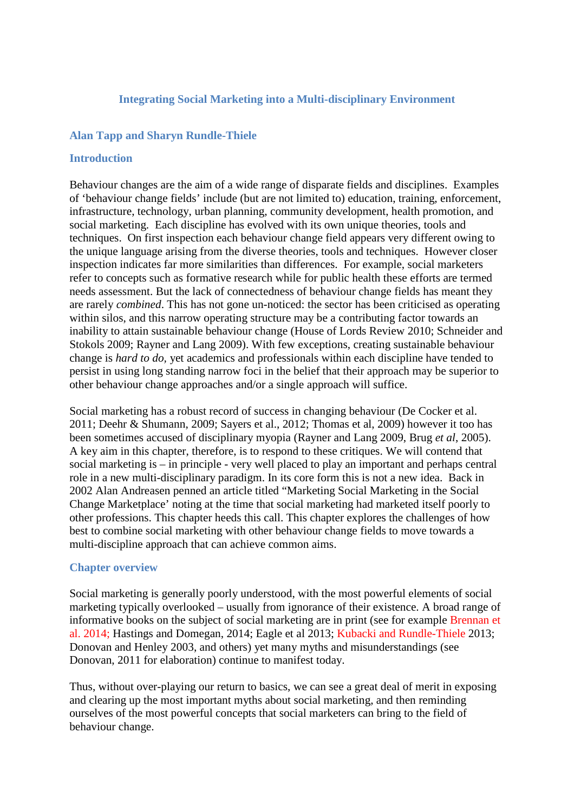# **Integrating Social Marketing into a Multi-disciplinary Environment**

# **Alan Tapp and Sharyn Rundle-Thiele**

### **Introduction**

Behaviour changes are the aim of a wide range of disparate fields and disciplines. Examples of 'behaviour change fields' include (but are not limited to) education, training, enforcement, infrastructure, technology, urban planning, community development, health promotion, and social marketing. Each discipline has evolved with its own unique theories, tools and techniques. On first inspection each behaviour change field appears very different owing to the unique language arising from the diverse theories, tools and techniques. However closer inspection indicates far more similarities than differences. For example, social marketers refer to concepts such as formative research while for public health these efforts are termed needs assessment. But the lack of connectedness of behaviour change fields has meant they are rarely *combined*. This has not gone un-noticed: the sector has been criticised as operating within silos, and this narrow operating structure may be a contributing factor towards an inability to attain sustainable behaviour change (House of Lords Review 2010; Schneider and Stokols 2009; Rayner and Lang 2009). With few exceptions, creating sustainable behaviour change is *hard to do,* yet academics and professionals within each discipline have tended to persist in using long standing narrow foci in the belief that their approach may be superior to other behaviour change approaches and/or a single approach will suffice.

Social marketing has a robust record of success in changing behaviour (De Cocker et al. 2011; Deehr & Shumann, 2009; Sayers et al., 2012; Thomas et al, 2009) however it too has been sometimes accused of disciplinary myopia (Rayner and Lang 2009, Brug *et al*, 2005). A key aim in this chapter, therefore, is to respond to these critiques. We will contend that social marketing is – in principle - very well placed to play an important and perhaps central role in a new multi-disciplinary paradigm. In its core form this is not a new idea. Back in 2002 Alan Andreasen penned an article titled "Marketing Social Marketing in the Social Change Marketplace' noting at the time that social marketing had marketed itself poorly to other professions. This chapter heeds this call. This chapter explores the challenges of how best to combine social marketing with other behaviour change fields to move towards a multi-discipline approach that can achieve common aims.

### **Chapter overview**

Social marketing is generally poorly understood, with the most powerful elements of social marketing typically overlooked – usually from ignorance of their existence. A broad range of informative books on the subject of social marketing are in print (see for example Brennan et al. 2014; Hastings and Domegan, 2014; Eagle et al 2013; Kubacki and Rundle-Thiele 2013; Donovan and Henley 2003, and others) yet many myths and misunderstandings (see Donovan, 2011 for elaboration) continue to manifest today.

Thus, without over-playing our return to basics, we can see a great deal of merit in exposing and clearing up the most important myths about social marketing, and then reminding ourselves of the most powerful concepts that social marketers can bring to the field of behaviour change.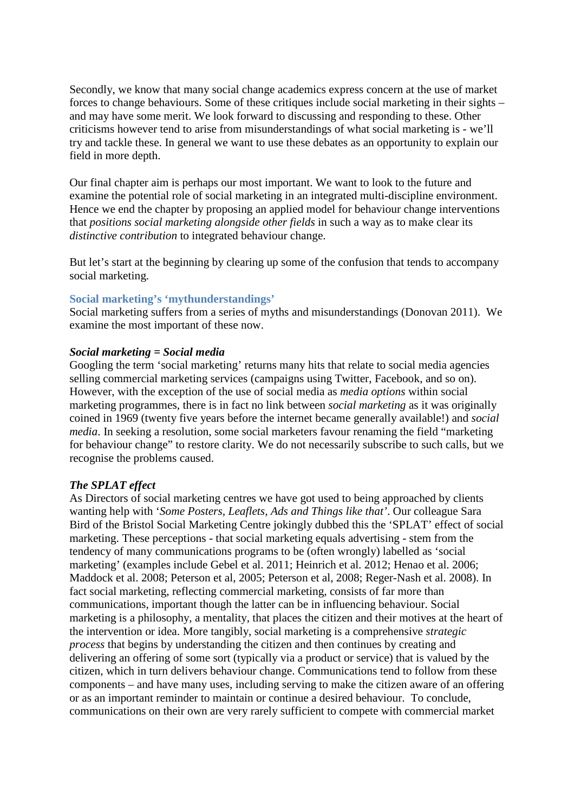Secondly, we know that many social change academics express concern at the use of market forces to change behaviours. Some of these critiques include social marketing in their sights – and may have some merit. We look forward to discussing and responding to these. Other criticisms however tend to arise from misunderstandings of what social marketing is - we'll try and tackle these. In general we want to use these debates as an opportunity to explain our field in more depth.

Our final chapter aim is perhaps our most important. We want to look to the future and examine the potential role of social marketing in an integrated multi-discipline environment. Hence we end the chapter by proposing an applied model for behaviour change interventions that *positions social marketing alongside other fields* in such a way as to make clear its *distinctive contribution* to integrated behaviour change.

But let's start at the beginning by clearing up some of the confusion that tends to accompany social marketing.

# **Social marketing's 'mythunderstandings'**

Social marketing suffers from a series of myths and misunderstandings (Donovan 2011). We examine the most important of these now.

### *Social marketing = Social media*

Googling the term 'social marketing' returns many hits that relate to social media agencies selling commercial marketing services (campaigns using Twitter, Facebook, and so on). However, with the exception of the use of social media as *media options* within social marketing programmes, there is in fact no link between *social marketing* as it was originally coined in 1969 (twenty five years before the internet became generally available!) and *social media*. In seeking a resolution, some social marketers favour renaming the field "marketing for behaviour change" to restore clarity. We do not necessarily subscribe to such calls, but we recognise the problems caused.

### *The SPLAT effect*

As Directors of social marketing centres we have got used to being approached by clients wanting help with '*Some Posters, Leaflets, Ads and Things like that'*. Our colleague Sara Bird of the Bristol Social Marketing Centre jokingly dubbed this the 'SPLAT' effect of social marketing. These perceptions - that social marketing equals advertising - stem from the tendency of many communications programs to be (often wrongly) labelled as 'social marketing' (examples include Gebel et al. 2011; Heinrich et al. 2012; Henao et al. 2006; Maddock et al. 2008; Peterson et al, 2005; Peterson et al, 2008; Reger-Nash et al. 2008). In fact social marketing, reflecting commercial marketing, consists of far more than communications, important though the latter can be in influencing behaviour. Social marketing is a philosophy, a mentality, that places the citizen and their motives at the heart of the intervention or idea. More tangibly, social marketing is a comprehensive *strategic process* that begins by understanding the citizen and then continues by creating and delivering an offering of some sort (typically via a product or service) that is valued by the citizen, which in turn delivers behaviour change. Communications tend to follow from these components – and have many uses, including serving to make the citizen aware of an offering or as an important reminder to maintain or continue a desired behaviour. To conclude, communications on their own are very rarely sufficient to compete with commercial market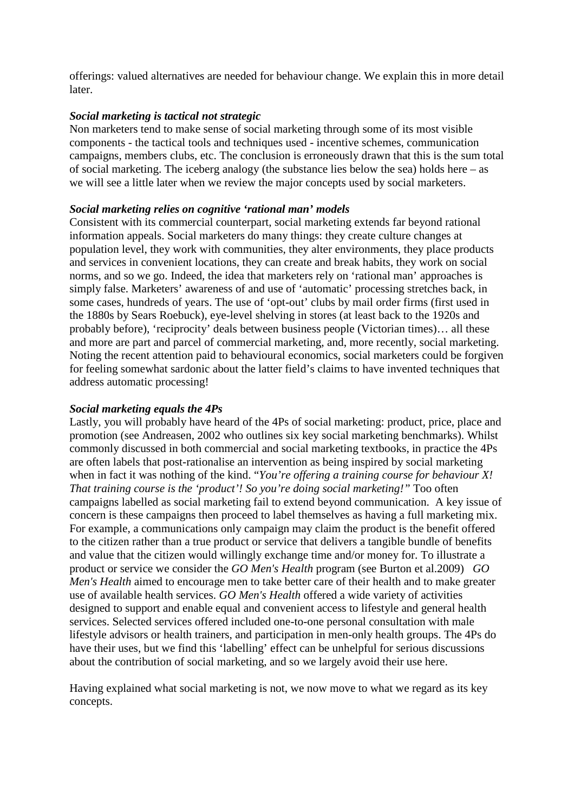offerings: valued alternatives are needed for behaviour change. We explain this in more detail later.

# *Social marketing is tactical not strategic*

Non marketers tend to make sense of social marketing through some of its most visible components - the tactical tools and techniques used - incentive schemes, communication campaigns, members clubs, etc. The conclusion is erroneously drawn that this is the sum total of social marketing. The iceberg analogy (the substance lies below the sea) holds here – as we will see a little later when we review the major concepts used by social marketers.

# *Social marketing relies on cognitive 'rational man' models*

Consistent with its commercial counterpart, social marketing extends far beyond rational information appeals. Social marketers do many things: they create culture changes at population level, they work with communities, they alter environments, they place products and services in convenient locations, they can create and break habits, they work on social norms, and so we go. Indeed, the idea that marketers rely on 'rational man' approaches is simply false. Marketers' awareness of and use of 'automatic' processing stretches back, in some cases, hundreds of years. The use of 'opt-out' clubs by mail order firms (first used in the 1880s by Sears Roebuck), eye-level shelving in stores (at least back to the 1920s and probably before), 'reciprocity' deals between business people (Victorian times)... all these and more are part and parcel of commercial marketing, and, more recently, social marketing. Noting the recent attention paid to behavioural economics, social marketers could be forgiven for feeling somewhat sardonic about the latter field's claims to have invented techniques that address automatic processing!

### *Social marketing equals the 4Ps*

Lastly, you will probably have heard of the 4Ps of social marketing: product, price, place and promotion (see Andreasen, 2002 who outlines six key social marketing benchmarks). Whilst commonly discussed in both commercial and social marketing textbooks, in practice the 4Ps are often labels that post-rationalise an intervention as being inspired by social marketing when in fact it was nothing of the kind. "*You're offering a training course for behaviour X! That training course is the 'product'! So you're doing social marketing!"* Too often campaigns labelled as social marketing fail to extend beyond communication. A key issue of concern is these campaigns then proceed to label themselves as having a full marketing mix. For example, a communications only campaign may claim the product is the benefit offered to the citizen rather than a true product or service that delivers a tangible bundle of benefits and value that the citizen would willingly exchange time and/or money for. To illustrate a product or service we consider the *GO Men's Health* program (see Burton et al.2009) *GO Men's Health* aimed to encourage men to take better care of their health and to make greater use of available health services. *GO Men's Health* offered a wide variety of activities designed to support and enable equal and convenient access to lifestyle and general health services. Selected services offered included one-to-one personal consultation with male lifestyle advisors or health trainers, and participation in men-only health groups. The 4Ps do have their uses, but we find this 'labelling' effect can be unhelpful for serious discussions about the contribution of social marketing, and so we largely avoid their use here.

Having explained what social marketing is not, we now move to what we regard as its key concepts.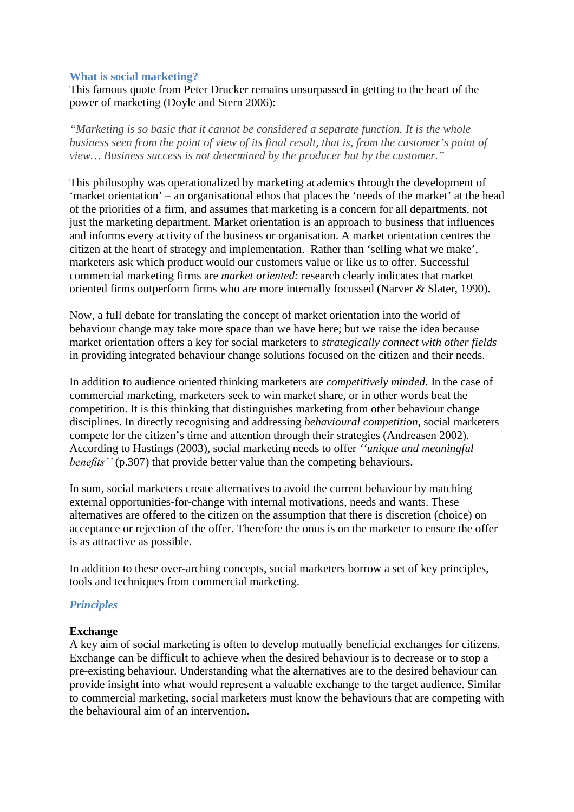### **What is social marketing?**

This famous quote from Peter Drucker remains unsurpassed in getting to the heart of the power of marketing (Doyle and Stern 2006):

*"Marketing is so basic that it cannot be considered a separate function. It is the whole business seen from the point of view of its final result, that is, from the customer's point of view… Business success is not determined by the producer but by the customer."*

This philosophy was operationalized by marketing academics through the development of 'market orientation' – an organisational ethos that places the 'needs of the market' at the head of the priorities of a firm, and assumes that marketing is a concern for all departments, not just the marketing department. Market orientation is an approach to business that influences and informs every activity of the business or organisation. A market orientation centres the citizen at the heart of strategy and implementation. Rather than 'selling what we make', marketers ask which product would our customers value or like us to offer. Successful commercial marketing firms are *market oriented:* research clearly indicates that market oriented firms outperform firms who are more internally focussed (Narver & Slater, 1990).

Now, a full debate for translating the concept of market orientation into the world of behaviour change may take more space than we have here; but we raise the idea because market orientation offers a key for social marketers to *strategically connect with other fields* in providing integrated behaviour change solutions focused on the citizen and their needs.

In addition to audience oriented thinking marketers are *competitively minded*. In the case of commercial marketing, marketers seek to win market share, or in other words beat the competition. It is this thinking that distinguishes marketing from other behaviour change disciplines. In directly recognising and addressing *behavioural competition*, social marketers compete for the citizen's time and attention through their strategies (Andreasen 2002). According to Hastings (2003), social marketing needs to offer *''unique and meaningful benefits''* (p.307) that provide better value than the competing behaviours.

In sum, social marketers create alternatives to avoid the current behaviour by matching external opportunities-for-change with internal motivations, needs and wants. These alternatives are offered to the citizen on the assumption that there is discretion (choice) on acceptance or rejection of the offer. Therefore the onus is on the marketer to ensure the offer is as attractive as possible.

In addition to these over-arching concepts, social marketers borrow a set of key principles, tools and techniques from commercial marketing.

# *Principles*

### **Exchange**

A key aim of social marketing is often to develop mutually beneficial exchanges for citizens. Exchange can be difficult to achieve when the desired behaviour is to decrease or to stop a pre-existing behaviour. Understanding what the alternatives are to the desired behaviour can provide insight into what would represent a valuable exchange to the target audience. Similar to commercial marketing, social marketers must know the behaviours that are competing with the behavioural aim of an intervention.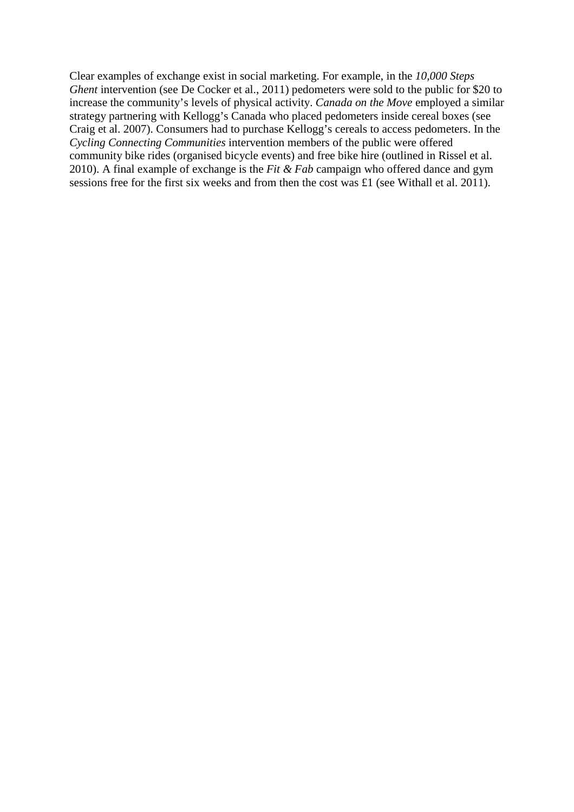Clear examples of exchange exist in social marketing. For example, in the *10,000 Steps Ghent* intervention (see De Cocker et al., 2011) pedometers were sold to the public for \$20 to increase the community's levels of physical activity. *Canada on the Move* employed a similar strategy partnering with Kellogg's Canada who placed pedometers inside cereal boxes (see Craig et al. 2007). Consumers had to purchase Kellogg's cereals to access pedometers. In the *Cycling Connecting Communities* intervention members of the public were offered community bike rides (organised bicycle events) and free bike hire (outlined in Rissel et al. 2010). A final example of exchange is the *Fit & Fab* campaign who offered dance and gym sessions free for the first six weeks and from then the cost was £1 (see Withall et al. 2011).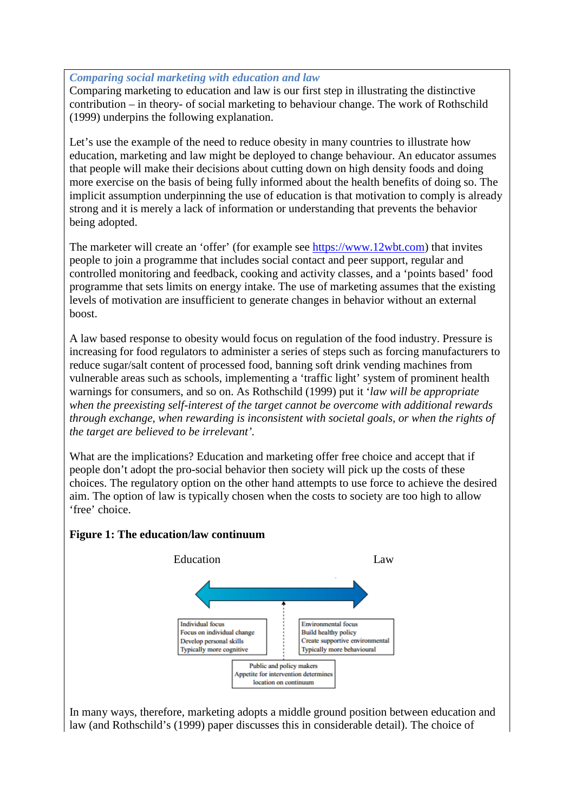# *Comparing social marketing with education and law*

Comparing marketing to education and law is our first step in illustrating the distinctive contribution – in theory- of social marketing to behaviour change. The work of Rothschild (1999) underpins the following explanation.

Let's use the example of the need to reduce obesity in many countries to illustrate how education, marketing and law might be deployed to change behaviour. An educator assumes that people will make their decisions about cutting down on high density foods and doing more exercise on the basis of being fully informed about the health benefits of doing so. The implicit assumption underpinning the use of education is that motivation to comply is already strong and it is merely a lack of information or understanding that prevents the behavior being adopted.

The marketer will create an 'offer' (for example see [https://www.12wbt.com\)](https://www.12wbt.com/) that invites people to join a programme that includes social contact and peer support, regular and controlled monitoring and feedback, cooking and activity classes, and a 'points based' food programme that sets limits on energy intake. The use of marketing assumes that the existing levels of motivation are insufficient to generate changes in behavior without an external boost.

A law based response to obesity would focus on regulation of the food industry. Pressure is increasing for food regulators to administer a series of steps such as forcing manufacturers to reduce sugar/salt content of processed food, banning soft drink vending machines from vulnerable areas such as schools, implementing a 'traffic light' system of prominent health warnings for consumers, and so on. As Rothschild (1999) put it '*law will be appropriate when the preexisting self-interest of the target cannot be overcome with additional rewards through exchange, when rewarding is inconsistent with societal goals, or when the rights of the target are believed to be irrelevant'.*

What are the implications? Education and marketing offer free choice and accept that if people don't adopt the pro-social behavior then society will pick up the costs of these choices. The regulatory option on the other hand attempts to use force to achieve the desired aim. The option of law is typically chosen when the costs to society are too high to allow 'free' choice.



# **Figure 1: The education/law continuum**

In many ways, therefore, marketing adopts a middle ground position between education and law (and Rothschild's (1999) paper discusses this in considerable detail). The choice of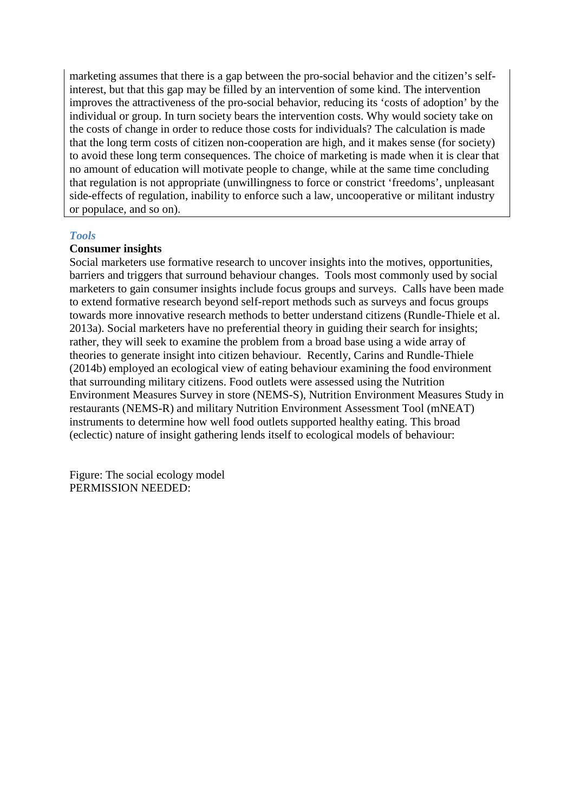marketing assumes that there is a gap between the pro-social behavior and the citizen's selfinterest, but that this gap may be filled by an intervention of some kind. The intervention improves the attractiveness of the pro-social behavior, reducing its 'costs of adoption' by the individual or group. In turn society bears the intervention costs. Why would society take on the costs of change in order to reduce those costs for individuals? The calculation is made that the long term costs of citizen non-cooperation are high, and it makes sense (for society) to avoid these long term consequences. The choice of marketing is made when it is clear that no amount of education will motivate people to change, while at the same time concluding that regulation is not appropriate (unwillingness to force or constrict 'freedoms', unpleasant side-effects of regulation, inability to enforce such a law, uncooperative or militant industry or populace, and so on).

#### *Tools*

### **Consumer insights**

Social marketers use formative research to uncover insights into the motives, opportunities, barriers and triggers that surround behaviour changes. Tools most commonly used by social marketers to gain consumer insights include focus groups and surveys. Calls have been made to extend formative research beyond self-report methods such as surveys and focus groups towards more innovative research methods to better understand citizens (Rundle-Thiele et al. 2013a). Social marketers have no preferential theory in guiding their search for insights; rather, they will seek to examine the problem from a broad base using a wide array of theories to generate insight into citizen behaviour. Recently, Carins and Rundle-Thiele (2014b) employed an ecological view of eating behaviour examining the food environment that surrounding military citizens. Food outlets were assessed using the Nutrition Environment Measures Survey in store (NEMS-S), Nutrition Environment Measures Study in restaurants (NEMS-R) and military Nutrition Environment Assessment Tool (mNEAT) instruments to determine how well food outlets supported healthy eating. This broad (eclectic) nature of insight gathering lends itself to ecological models of behaviour:

Figure: The social ecology model PERMISSION NEEDED: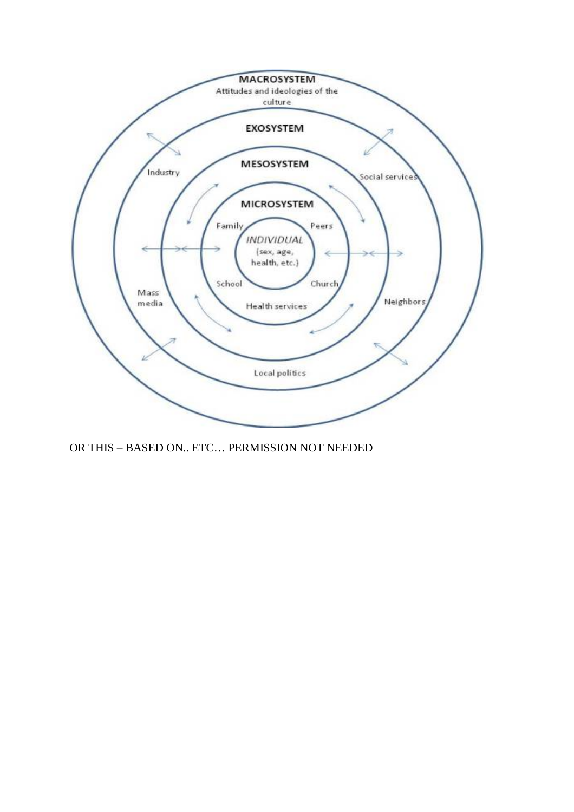

OR THIS – BASED ON.. ETC… PERMISSION NOT NEEDED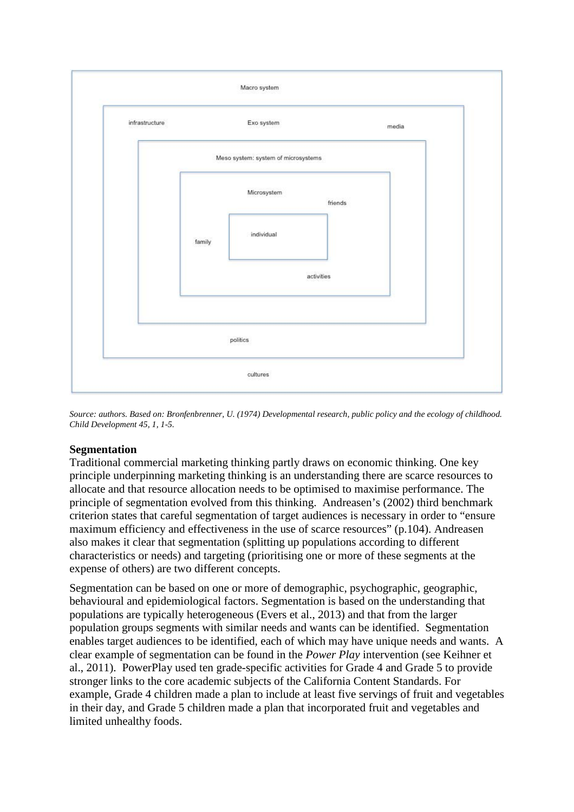

*Source: authors. Based on: Bronfenbrenner, U. (1974) Developmental research, public policy and the ecology of childhood. Child Development 45, 1, 1-5.*

# **Segmentation**

Traditional commercial marketing thinking partly draws on economic thinking. One key principle underpinning marketing thinking is an understanding there are scarce resources to allocate and that resource allocation needs to be optimised to maximise performance. The principle of segmentation evolved from this thinking. Andreasen's (2002) third benchmark criterion states that careful segmentation of target audiences is necessary in order to "ensure maximum efficiency and effectiveness in the use of scarce resources" (p.104). Andreasen also makes it clear that segmentation (splitting up populations according to different characteristics or needs) and targeting (prioritising one or more of these segments at the expense of others) are two different concepts.

Segmentation can be based on one or more of demographic, psychographic, geographic, behavioural and epidemiological factors. Segmentation is based on the understanding that populations are typically heterogeneous (Evers et al., 2013) and that from the larger population groups segments with similar needs and wants can be identified. Segmentation enables target audiences to be identified, each of which may have unique needs and wants. A clear example of segmentation can be found in the *Power Play* intervention (see Keihner et al., 2011). PowerPlay used ten grade-specific activities for Grade 4 and Grade 5 to provide stronger links to the core academic subjects of the California Content Standards. For example, Grade 4 children made a plan to include at least five servings of fruit and vegetables in their day, and Grade 5 children made a plan that incorporated fruit and vegetables and limited unhealthy foods.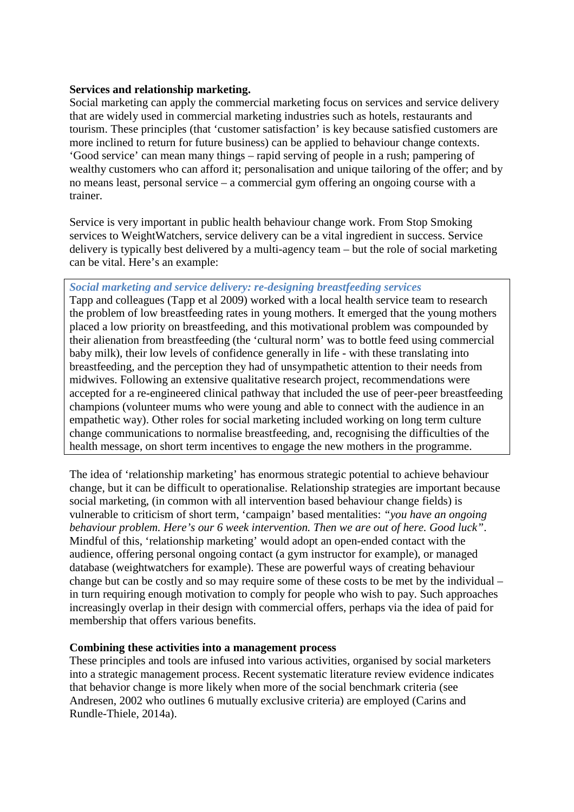### **Services and relationship marketing.**

Social marketing can apply the commercial marketing focus on services and service delivery that are widely used in commercial marketing industries such as hotels, restaurants and tourism. These principles (that 'customer satisfaction' is key because satisfied customers are more inclined to return for future business) can be applied to behaviour change contexts. 'Good service' can mean many things – rapid serving of people in a rush; pampering of wealthy customers who can afford it; personalisation and unique tailoring of the offer; and by no means least, personal service – a commercial gym offering an ongoing course with a trainer.

Service is very important in public health behaviour change work. From Stop Smoking services to WeightWatchers, service delivery can be a vital ingredient in success. Service delivery is typically best delivered by a multi-agency team – but the role of social marketing can be vital. Here's an example:

# *Social marketing and service delivery: re-designing breastfeeding services*

Tapp and colleagues (Tapp et al 2009) worked with a local health service team to research the problem of low breastfeeding rates in young mothers. It emerged that the young mothers placed a low priority on breastfeeding, and this motivational problem was compounded by their alienation from breastfeeding (the 'cultural norm' was to bottle feed using commercial baby milk), their low levels of confidence generally in life - with these translating into breastfeeding, and the perception they had of unsympathetic attention to their needs from midwives. Following an extensive qualitative research project, recommendations were accepted for a re-engineered clinical pathway that included the use of peer-peer breastfeeding champions (volunteer mums who were young and able to connect with the audience in an empathetic way). Other roles for social marketing included working on long term culture change communications to normalise breastfeeding, and, recognising the difficulties of the health message, on short term incentives to engage the new mothers in the programme.

The idea of 'relationship marketing' has enormous strategic potential to achieve behaviour change, but it can be difficult to operationalise. Relationship strategies are important because social marketing, (in common with all intervention based behaviour change fields) is vulnerable to criticism of short term, 'campaign' based mentalities: *"you have an ongoing behaviour problem. Here's our 6 week intervention. Then we are out of here. Good luck"*. Mindful of this, 'relationship marketing' would adopt an open-ended contact with the audience, offering personal ongoing contact (a gym instructor for example), or managed database (weightwatchers for example). These are powerful ways of creating behaviour change but can be costly and so may require some of these costs to be met by the individual – in turn requiring enough motivation to comply for people who wish to pay. Such approaches increasingly overlap in their design with commercial offers, perhaps via the idea of paid for membership that offers various benefits.

### **Combining these activities into a management process**

These principles and tools are infused into various activities, organised by social marketers into a strategic management process. Recent systematic literature review evidence indicates that behavior change is more likely when more of the social benchmark criteria (see Andresen, 2002 who outlines 6 mutually exclusive criteria) are employed (Carins and Rundle-Thiele, 2014a).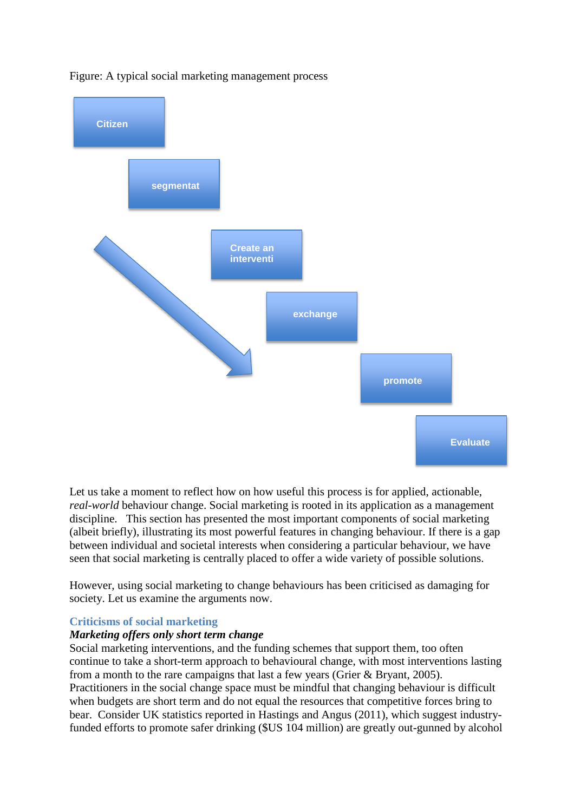

Figure: A typical social marketing management process

Let us take a moment to reflect how on how useful this process is for applied, actionable, *real-world* behaviour change. Social marketing is rooted in its application as a management discipline. This section has presented the most important components of social marketing (albeit briefly), illustrating its most powerful features in changing behaviour. If there is a gap between individual and societal interests when considering a particular behaviour, we have seen that social marketing is centrally placed to offer a wide variety of possible solutions.

However, using social marketing to change behaviours has been criticised as damaging for society. Let us examine the arguments now.

### **Criticisms of social marketing**

#### *Marketing offers only short term change*

Social marketing interventions, and the funding schemes that support them, too often continue to take a short-term approach to behavioural change, with most interventions lasting from a month to the rare campaigns that last a few years (Grier & Bryant, 2005). Practitioners in the social change space must be mindful that changing behaviour is difficult when budgets are short term and do not equal the resources that competitive forces bring to bear. Consider UK statistics reported in Hastings and Angus (2011), which suggest industryfunded efforts to promote safer drinking (\$US 104 million) are greatly out-gunned by alcohol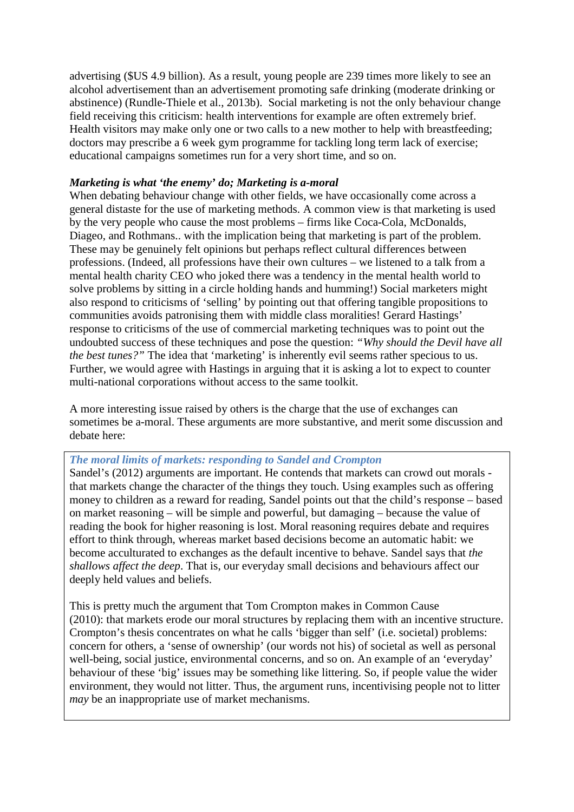advertising (\$US 4.9 billion). As a result, young people are 239 times more likely to see an alcohol advertisement than an advertisement promoting safe drinking (moderate drinking or abstinence) (Rundle-Thiele et al., 2013b). Social marketing is not the only behaviour change field receiving this criticism: health interventions for example are often extremely brief. Health visitors may make only one or two calls to a new mother to help with breastfeeding; doctors may prescribe a 6 week gym programme for tackling long term lack of exercise; educational campaigns sometimes run for a very short time, and so on.

# *Marketing is what 'the enemy' do; Marketing is a-moral*

When debating behaviour change with other fields, we have occasionally come across a general distaste for the use of marketing methods. A common view is that marketing is used by the very people who cause the most problems – firms like Coca-Cola, McDonalds, Diageo, and Rothmans.. with the implication being that marketing is part of the problem. These may be genuinely felt opinions but perhaps reflect cultural differences between professions. (Indeed, all professions have their own cultures – we listened to a talk from a mental health charity CEO who joked there was a tendency in the mental health world to solve problems by sitting in a circle holding hands and humming!) Social marketers might also respond to criticisms of 'selling' by pointing out that offering tangible propositions to communities avoids patronising them with middle class moralities! Gerard Hastings' response to criticisms of the use of commercial marketing techniques was to point out the undoubted success of these techniques and pose the question: *"Why should the Devil have all the best tunes?"* The idea that 'marketing' is inherently evil seems rather specious to us. Further, we would agree with Hastings in arguing that it is asking a lot to expect to counter multi-national corporations without access to the same toolkit.

A more interesting issue raised by others is the charge that the use of exchanges can sometimes be a-moral. These arguments are more substantive, and merit some discussion and debate here:

# *The moral limits of markets: responding to Sandel and Crompton*

Sandel's (2012) arguments are important. He contends that markets can crowd out morals that markets change the character of the things they touch. Using examples such as offering money to children as a reward for reading, Sandel points out that the child's response – based on market reasoning – will be simple and powerful, but damaging – because the value of reading the book for higher reasoning is lost. Moral reasoning requires debate and requires effort to think through, whereas market based decisions become an automatic habit: we become acculturated to exchanges as the default incentive to behave. Sandel says that *the shallows affect the deep*. That is, our everyday small decisions and behaviours affect our deeply held values and beliefs.

This is pretty much the argument that Tom Crompton makes in Common Cause (2010): that markets erode our moral structures by replacing them with an incentive structure. Crompton's thesis concentrates on what he calls 'bigger than self' (i.e. societal) problems: concern for others, a 'sense of ownership' (our words not his) of societal as well as personal well-being, social justice, environmental concerns, and so on. An example of an 'everyday' behaviour of these 'big' issues may be something like littering. So, if people value the wider environment, they would not litter. Thus, the argument runs, incentivising people not to litter *may* be an inappropriate use of market mechanisms.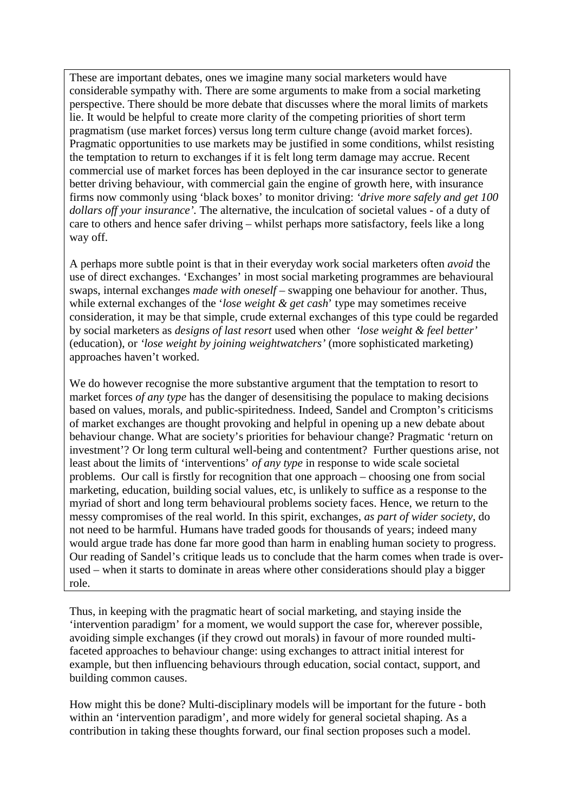These are important debates, ones we imagine many social marketers would have considerable sympathy with. There are some arguments to make from a social marketing perspective. There should be more debate that discusses where the moral limits of markets lie. It would be helpful to create more clarity of the competing priorities of short term pragmatism (use market forces) versus long term culture change (avoid market forces). Pragmatic opportunities to use markets may be justified in some conditions, whilst resisting the temptation to return to exchanges if it is felt long term damage may accrue. Recent commercial use of market forces has been deployed in the car insurance sector to generate better driving behaviour, with commercial gain the engine of growth here, with insurance firms now commonly using 'black boxes' to monitor driving: *'drive more safely and get 100 dollars off your insurance'.* The alternative, the inculcation of societal values - of a duty of care to others and hence safer driving – whilst perhaps more satisfactory, feels like a long way off.

A perhaps more subtle point is that in their everyday work social marketers often *avoid* the use of direct exchanges. 'Exchanges' in most social marketing programmes are behavioural swaps, internal exchanges *made with oneself* – swapping one behaviour for another. Thus, while external exchanges of the '*lose weight & get cash*' type may sometimes receive consideration, it may be that simple, crude external exchanges of this type could be regarded by social marketers as *designs of last resort* used when other *'lose weight & feel better'* (education), or *'lose weight by joining weightwatchers'* (more sophisticated marketing) approaches haven't worked.

We do however recognise the more substantive argument that the temptation to resort to market forces *of any type* has the danger of desensitising the populace to making decisions based on values, morals, and public-spiritedness. Indeed, Sandel and Crompton's criticisms of market exchanges are thought provoking and helpful in opening up a new debate about behaviour change. What are society's priorities for behaviour change? Pragmatic 'return on investment'? Or long term cultural well-being and contentment? Further questions arise, not least about the limits of 'interventions' *of any type* in response to wide scale societal problems. Our call is firstly for recognition that one approach – choosing one from social marketing, education, building social values, etc, is unlikely to suffice as a response to the myriad of short and long term behavioural problems society faces. Hence, we return to the messy compromises of the real world. In this spirit, exchanges, *as part of wider society*, do not need to be harmful. Humans have traded goods for thousands of years; indeed many would argue trade has done far more good than harm in enabling human society to progress. Our reading of Sandel's critique leads us to conclude that the harm comes when trade is overused – when it starts to dominate in areas where other considerations should play a bigger role.

Thus, in keeping with the pragmatic heart of social marketing, and staying inside the 'intervention paradigm' for a moment, we would support the case for, wherever possible, avoiding simple exchanges (if they crowd out morals) in favour of more rounded multifaceted approaches to behaviour change: using exchanges to attract initial interest for example, but then influencing behaviours through education, social contact, support, and building common causes.

How might this be done? Multi-disciplinary models will be important for the future - both within an 'intervention paradigm', and more widely for general societal shaping. As a contribution in taking these thoughts forward, our final section proposes such a model.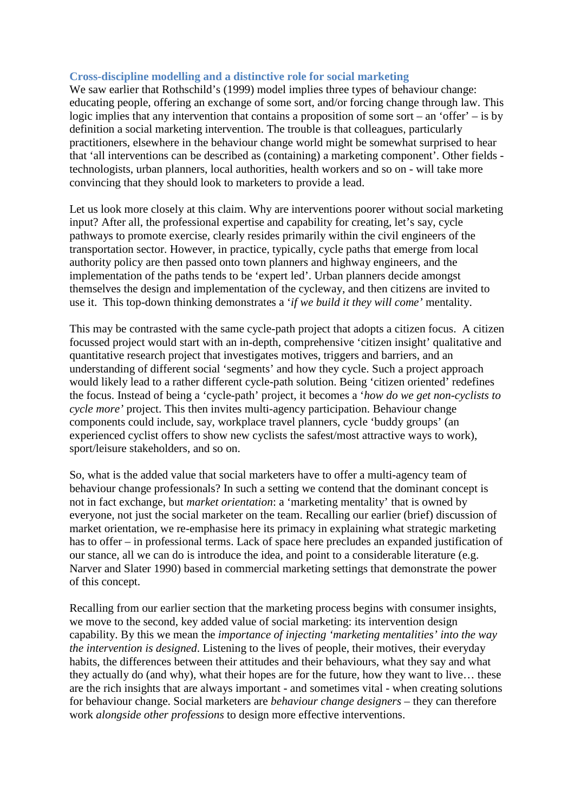### **Cross-discipline modelling and a distinctive role for social marketing**

We saw earlier that Rothschild's (1999) model implies three types of behaviour change: educating people, offering an exchange of some sort, and/or forcing change through law. This logic implies that any intervention that contains a proposition of some sort – an 'offer' – is by definition a social marketing intervention. The trouble is that colleagues, particularly practitioners, elsewhere in the behaviour change world might be somewhat surprised to hear that 'all interventions can be described as (containing) a marketing component'. Other fields technologists, urban planners, local authorities, health workers and so on - will take more convincing that they should look to marketers to provide a lead.

Let us look more closely at this claim. Why are interventions poorer without social marketing input? After all, the professional expertise and capability for creating, let's say, cycle pathways to promote exercise, clearly resides primarily within the civil engineers of the transportation sector. However, in practice, typically, cycle paths that emerge from local authority policy are then passed onto town planners and highway engineers, and the implementation of the paths tends to be 'expert led'. Urban planners decide amongst themselves the design and implementation of the cycleway, and then citizens are invited to use it. This top-down thinking demonstrates a '*if we build it they will come'* mentality.

This may be contrasted with the same cycle-path project that adopts a citizen focus. A citizen focussed project would start with an in-depth, comprehensive 'citizen insight' qualitative and quantitative research project that investigates motives, triggers and barriers, and an understanding of different social 'segments' and how they cycle. Such a project approach would likely lead to a rather different cycle-path solution. Being 'citizen oriented' redefines the focus. Instead of being a 'cycle-path' project, it becomes a '*how do we get non-cyclists to cycle more'* project. This then invites multi-agency participation. Behaviour change components could include, say, workplace travel planners, cycle 'buddy groups' (an experienced cyclist offers to show new cyclists the safest/most attractive ways to work), sport/leisure stakeholders, and so on.

So, what is the added value that social marketers have to offer a multi-agency team of behaviour change professionals? In such a setting we contend that the dominant concept is not in fact exchange, but *market orientation*: a 'marketing mentality' that is owned by everyone, not just the social marketer on the team. Recalling our earlier (brief) discussion of market orientation, we re-emphasise here its primacy in explaining what strategic marketing has to offer – in professional terms. Lack of space here precludes an expanded justification of our stance, all we can do is introduce the idea, and point to a considerable literature (e.g. Narver and Slater 1990) based in commercial marketing settings that demonstrate the power of this concept.

Recalling from our earlier section that the marketing process begins with consumer insights, we move to the second, key added value of social marketing: its intervention design capability. By this we mean the *importance of injecting 'marketing mentalities' into the way the intervention is designed*. Listening to the lives of people, their motives, their everyday habits, the differences between their attitudes and their behaviours, what they say and what they actually do (and why), what their hopes are for the future, how they want to live… these are the rich insights that are always important - and sometimes vital - when creating solutions for behaviour change. Social marketers are *behaviour change designers* – they can therefore work *alongside other professions* to design more effective interventions.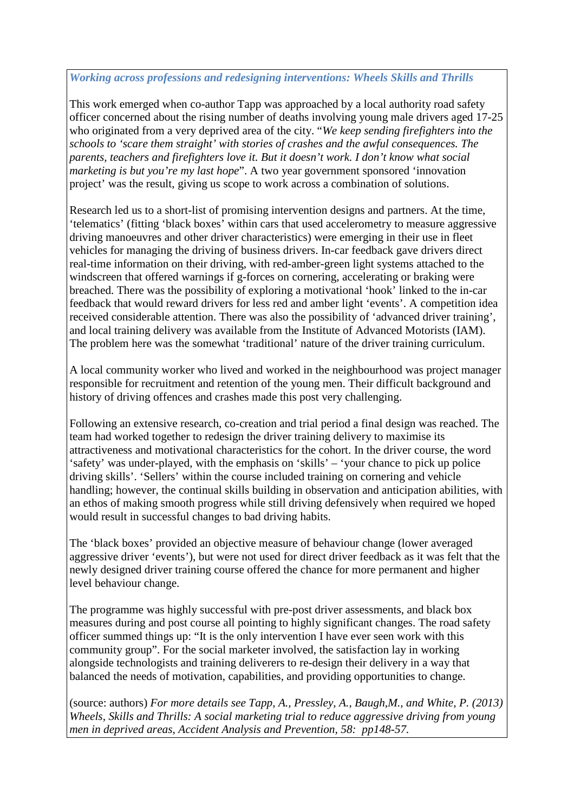# *Working across professions and redesigning interventions: Wheels Skills and Thrills*

This work emerged when co-author Tapp was approached by a local authority road safety officer concerned about the rising number of deaths involving young male drivers aged 17-25 who originated from a very deprived area of the city. "*We keep sending firefighters into the schools to 'scare them straight' with stories of crashes and the awful consequences. The parents, teachers and firefighters love it. But it doesn't work. I don't know what social marketing is but you're my last hope*". A two year government sponsored 'innovation project' was the result, giving us scope to work across a combination of solutions.

Research led us to a short-list of promising intervention designs and partners. At the time, 'telematics' (fitting 'black boxes' within cars that used accelerometry to measure aggressive driving manoeuvres and other driver characteristics) were emerging in their use in fleet vehicles for managing the driving of business drivers. In-car feedback gave drivers direct real-time information on their driving, with red-amber-green light systems attached to the windscreen that offered warnings if g-forces on cornering, accelerating or braking were breached. There was the possibility of exploring a motivational 'hook' linked to the in-car feedback that would reward drivers for less red and amber light 'events'. A competition idea received considerable attention. There was also the possibility of 'advanced driver training', and local training delivery was available from the Institute of Advanced Motorists (IAM). The problem here was the somewhat 'traditional' nature of the driver training curriculum.

A local community worker who lived and worked in the neighbourhood was project manager responsible for recruitment and retention of the young men. Their difficult background and history of driving offences and crashes made this post very challenging.

Following an extensive research, co-creation and trial period a final design was reached. The team had worked together to redesign the driver training delivery to maximise its attractiveness and motivational characteristics for the cohort. In the driver course, the word 'safety' was under-played, with the emphasis on 'skills' – 'your chance to pick up police driving skills'. 'Sellers' within the course included training on cornering and vehicle handling; however, the continual skills building in observation and anticipation abilities, with an ethos of making smooth progress while still driving defensively when required we hoped would result in successful changes to bad driving habits.

The 'black boxes' provided an objective measure of behaviour change (lower averaged aggressive driver 'events'), but were not used for direct driver feedback as it was felt that the newly designed driver training course offered the chance for more permanent and higher level behaviour change.

The programme was highly successful with pre-post driver assessments, and black box measures during and post course all pointing to highly significant changes. The road safety officer summed things up: "It is the only intervention I have ever seen work with this community group". For the social marketer involved, the satisfaction lay in working alongside technologists and training deliverers to re-design their delivery in a way that balanced the needs of motivation, capabilities, and providing opportunities to change.

(source: authors) *For more details see Tapp, A., Pressley, A., Baugh,M., and White, P. (2013) Wheels, Skills and Thrills: A social marketing trial to reduce aggressive driving from young men in deprived areas, Accident Analysis and Prevention, 58: pp148-57.*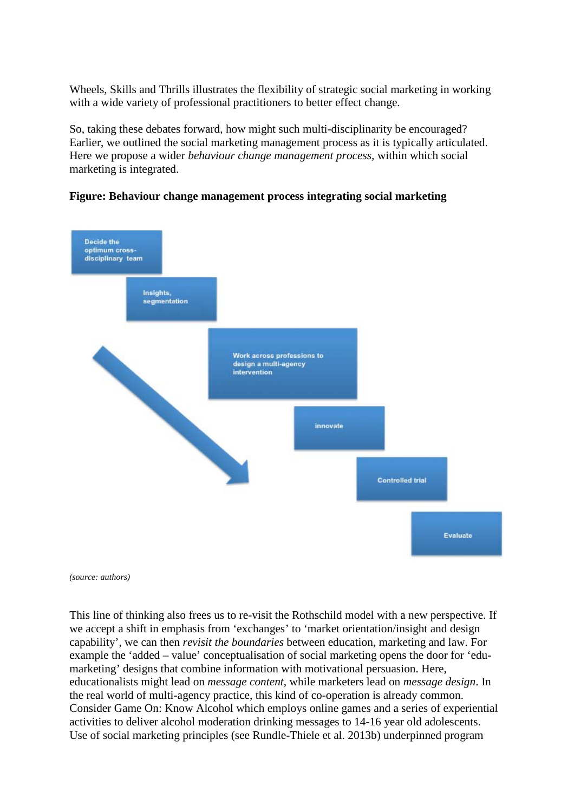Wheels, Skills and Thrills illustrates the flexibility of strategic social marketing in working with a wide variety of professional practitioners to better effect change.

So, taking these debates forward, how might such multi-disciplinarity be encouraged? Earlier, we outlined the social marketing management process as it is typically articulated. Here we propose a wider *behaviour change management process,* within which social marketing is integrated.

# **Figure: Behaviour change management process integrating social marketing**



*(source: authors)*

This line of thinking also frees us to re-visit the Rothschild model with a new perspective. If we accept a shift in emphasis from 'exchanges' to 'market orientation/insight and design capability', we can then *revisit the boundaries* between education, marketing and law. For example the 'added – value' conceptualisation of social marketing opens the door for 'edumarketing' designs that combine information with motivational persuasion. Here, educationalists might lead on *message content*, while marketers lead on *message design*. In the real world of multi-agency practice, this kind of co-operation is already common. Consider Game On: Know Alcohol which employs online games and a series of experiential activities to deliver alcohol moderation drinking messages to 14-16 year old adolescents. Use of social marketing principles (see Rundle-Thiele et al. 2013b) underpinned program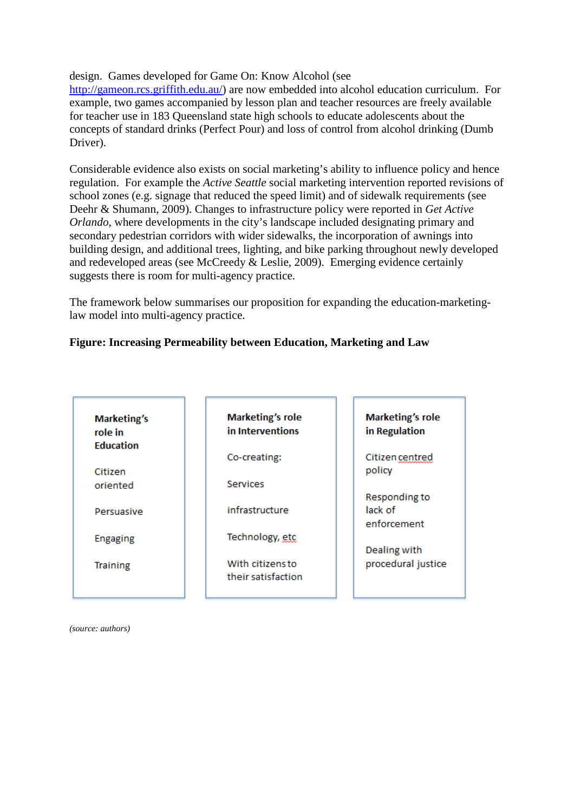design. Games developed for Game On: Know Alcohol (see

[http://gameon.rcs.griffith.edu.au/\)](http://gameon.rcs.griffith.edu.au/) are now embedded into alcohol education curriculum. For example, two games accompanied by lesson plan and teacher resources are freely available for teacher use in 183 Queensland state high schools to educate adolescents about the concepts of standard drinks (Perfect Pour) and loss of control from alcohol drinking (Dumb Driver).

Considerable evidence also exists on social marketing's ability to influence policy and hence regulation. For example the *Active Seattle* social marketing intervention reported revisions of school zones (e.g. signage that reduced the speed limit) and of sidewalk requirements (see Deehr & Shumann, 2009). Changes to infrastructure policy were reported in *Get Active Orlando*, where developments in the city's landscape included designating primary and secondary pedestrian corridors with wider sidewalks, the incorporation of awnings into building design, and additional trees, lighting, and bike parking throughout newly developed and redeveloped areas (see McCreedy & Leslie, 2009). Emerging evidence certainly suggests there is room for multi-agency practice.

The framework below summarises our proposition for expanding the education-marketinglaw model into multi-agency practice.

# **Figure: Increasing Permeability between Education, Marketing and Law**

| <b>Marketing's</b><br>role in | <b>Marketing's role</b><br>in Interventions | <b>Marketing's role</b><br>in Regulation |
|-------------------------------|---------------------------------------------|------------------------------------------|
| <b>Education</b>              | Co-creating:                                | Citizen centred                          |
| Citizen<br>oriented           | <b>Services</b>                             | policy                                   |
| Persuasive                    | infrastructure                              | Responding to<br>lack of                 |
| <b>Engaging</b>               | Technology, etc                             | enforcement                              |
|                               |                                             | Dealing with                             |
| <b>Training</b>               | With citizens to<br>their satisfaction      | procedural justice                       |

*(source: authors)*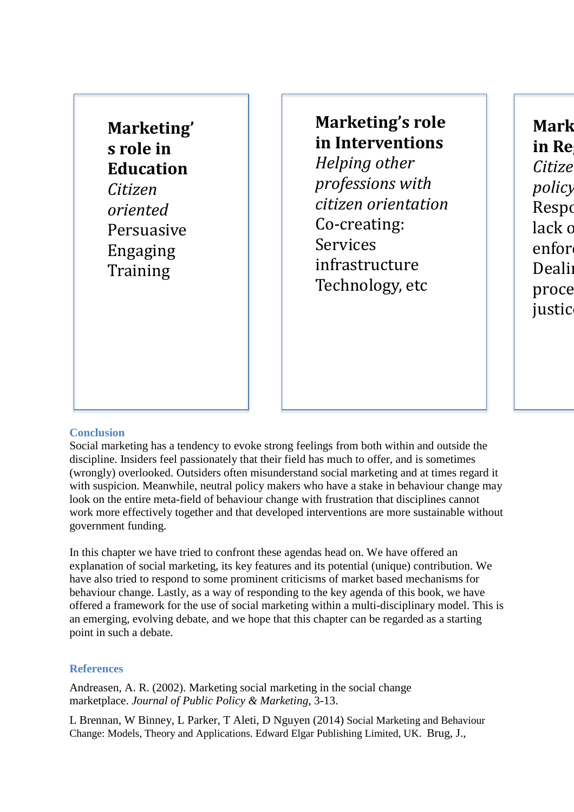**Marketing' s role in Education** *Citizen oriented*  Persuasive Engaging **Training** 

**Marketing's role in Interventions** *Helping other professions with citizen orientation* Co-creating: Services infrastructure Technology, etc

**Mark in Reg** *Citize policy* **Respo** lack o enfor **Dealin** proce justic

### **Conclusion**

Social marketing has a tendency to evoke strong feelings from both within and outside the discipline. Insiders feel passionately that their field has much to offer, and is sometimes (wrongly) overlooked. Outsiders often misunderstand social marketing and at times regard it with suspicion. Meanwhile, neutral policy makers who have a stake in behaviour change may look on the entire meta-field of behaviour change with frustration that disciplines cannot work more effectively together and that developed interventions are more sustainable without government funding.

In this chapter we have tried to confront these agendas head on. We have offered an explanation of social marketing, its key features and its potential (unique) contribution. We have also tried to respond to some prominent criticisms of market based mechanisms for behaviour change. Lastly, as a way of responding to the key agenda of this book, we have offered a framework for the use of social marketing within a multi-disciplinary model. This is an emerging, evolving debate, and we hope that this chapter can be regarded as a starting point in such a debate.

#### **References**

Andreasen, A. R. (2002). Marketing social marketing in the social change marketplace. *Journal of Public Policy & Marketing*, 3-13.

L Brennan, W Binney, L Parker, T Aleti, D Nguyen (2014) [Social Marketing and Behaviour](http://scholar.google.com/scholar_url?hl=en&q=http://books.google.com/books%3Fhl%3Den%26lr%3Dlang_en%26id%3DuCqlBQAAQBAJ%26oi%3Dfnd%26pg%3DPR1%26ots%3DZECwQsxoZJ%26sig%3Dm52RXxtmdIR3F7SbOKUGQc7I7-Q&sa=X&scisig=AAGBfm3h5w5KeU2VLjqu4W-3OeXO-kP6Iw&oi=scholaralrt)  [Change: Models, Theory and Applications.](http://scholar.google.com/scholar_url?hl=en&q=http://books.google.com/books%3Fhl%3Den%26lr%3Dlang_en%26id%3DuCqlBQAAQBAJ%26oi%3Dfnd%26pg%3DPR1%26ots%3DZECwQsxoZJ%26sig%3Dm52RXxtmdIR3F7SbOKUGQc7I7-Q&sa=X&scisig=AAGBfm3h5w5KeU2VLjqu4W-3OeXO-kP6Iw&oi=scholaralrt) Edward Elgar Publishing Limited, UK. Brug, J.,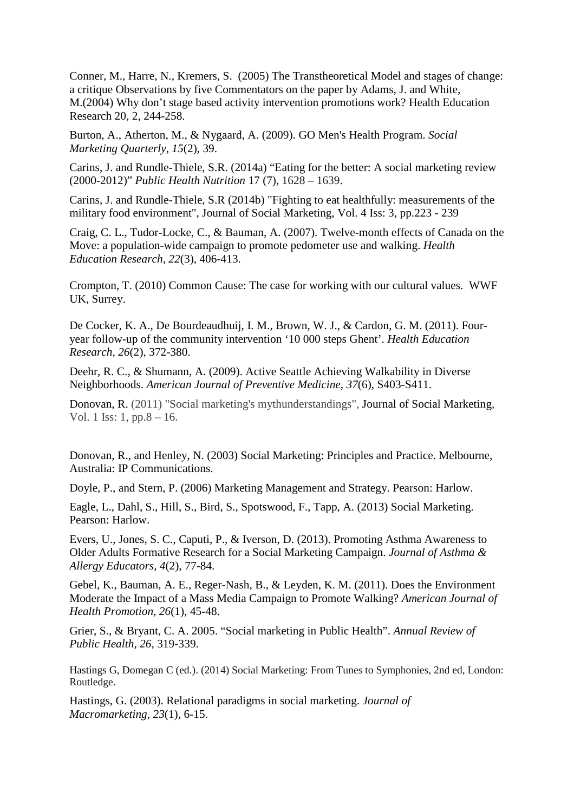Conner, M., Harre, N., Kremers, S. (2005) The Transtheoretical Model and stages of change: a critique Observations by five Commentators on the paper by Adams, J. and White, M.(2004) Why don't stage based activity intervention promotions work? Health Education Research 20, 2, 244-258.

Burton, A., Atherton, M., & Nygaard, A. (2009). GO Men's Health Program. *Social Marketing Quarterly, 15*(2), 39.

Carins, J. and Rundle-Thiele, S.R. (2014a) "Eating for the better: A social marketing review (2000-2012)" *Public Health Nutrition* 17 (7), 1628 – 1639.

Carins, J. and Rundle-Thiele, S.R (2014b) "Fighting to eat healthfully: measurements of the military food environment", Journal of Social Marketing, Vol. 4 Iss: 3, pp.223 - 239

Craig, C. L., Tudor-Locke, C., & Bauman, A. (2007). Twelve-month effects of Canada on the Move: a population-wide campaign to promote pedometer use and walking. *Health Education Research, 22*(3), 406-413.

Crompton, T. (2010) Common Cause: The case for working with our cultural values. WWF UK, Surrey.

De Cocker, K. A., De Bourdeaudhuij, I. M., Brown, W. J., & Cardon, G. M. (2011). Fouryear follow-up of the community intervention '10 000 steps Ghent'. *Health Education Research, 26*(2), 372-380.

Deehr, R. C., & Shumann, A. (2009). Active Seattle Achieving Walkability in Diverse Neighborhoods. *American Journal of Preventive Medicine, 37*(6), S403-S411.

Donovan, R. (2011) "Social marketing's mythunderstandings", Journal of Social Marketing, Vol. 1 Iss: 1, pp.8 – 16.

Donovan, R., and Henley, N. (2003) Social Marketing: Principles and Practice. Melbourne, Australia: IP Communications.

Doyle, P., and Stern, P. (2006) Marketing Management and Strategy. Pearson: Harlow.

Eagle, L., Dahl, S., Hill, S., Bird, S., Spotswood, F., Tapp, A. (2013) Social Marketing. Pearson: Harlow.

Evers, U., Jones, S. C., Caputi, P., & Iverson, D. (2013). Promoting Asthma Awareness to Older Adults Formative Research for a Social Marketing Campaign. *Journal of Asthma & Allergy Educators*, *4*(2), 77-84.

Gebel, K., Bauman, A. E., Reger-Nash, B., & Leyden, K. M. (2011). Does the Environment Moderate the Impact of a Mass Media Campaign to Promote Walking? *American Journal of Health Promotion, 26*(1), 45-48.

Grier, S., & Bryant, C. A. 2005. "Social marketing in Public Health". *Annual Review of Public Health, 26*, 319-339.

Hastings G, Domegan C (ed.). (2014) Social Marketing: From Tunes to Symphonies, 2nd ed, London: Routledge.

Hastings, G. (2003). Relational paradigms in social marketing. *Journal of Macromarketing*, *23*(1), 6-15.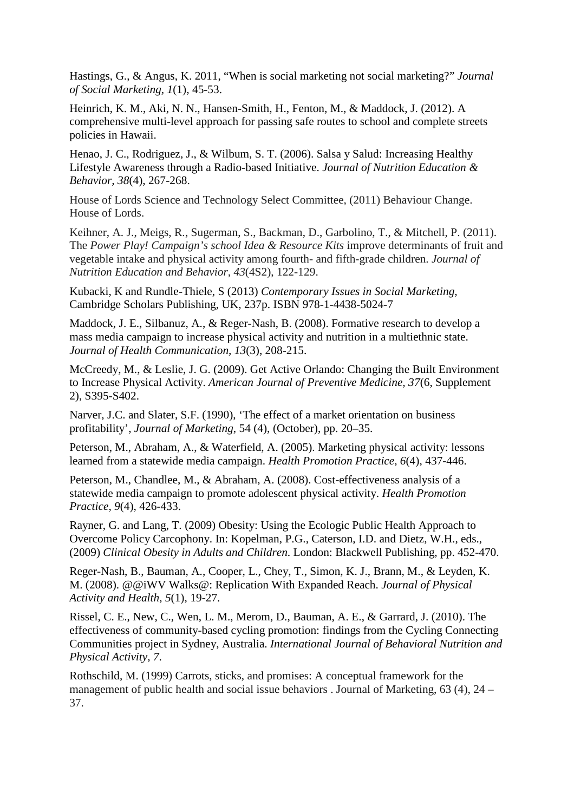Hastings, G., & Angus, K. 2011, "When is social marketing not social marketing?" *Journal of Social Marketing, 1*(1), 45-53.

Heinrich, K. M., Aki, N. N., Hansen-Smith, H., Fenton, M., & Maddock, J. (2012). A comprehensive multi-level approach for passing safe routes to school and complete streets policies in Hawaii.

Henao, J. C., Rodriguez, J., & Wilbum, S. T. (2006). Salsa y Salud: Increasing Healthy Lifestyle Awareness through a Radio-based Initiative. *Journal of Nutrition Education & Behavior, 38*(4), 267-268.

House of Lords Science and Technology Select Committee, (2011) Behaviour Change. House of Lords.

Keihner, A. J., Meigs, R., Sugerman, S., Backman, D., Garbolino, T., & Mitchell, P. (2011). The *Power Play! Campaign's school Idea & Resource Kits* improve determinants of fruit and vegetable intake and physical activity among fourth- and fifth-grade children. *Journal of Nutrition Education and Behavior, 43*(4S2), 122-129.

Kubacki, K and Rundle-Thiele, S (2013) *Contemporary Issues in Social Marketing*, Cambridge Scholars Publishing, UK, 237p. ISBN 978-1-4438-5024-7

Maddock, J. E., Silbanuz, A., & Reger-Nash, B. (2008). Formative research to develop a mass media campaign to increase physical activity and nutrition in a multiethnic state. *Journal of Health Communication, 13*(3), 208-215.

McCreedy, M., & Leslie, J. G. (2009). Get Active Orlando: Changing the Built Environment to Increase Physical Activity. *American Journal of Preventive Medicine, 37*(6, Supplement 2), S395-S402.

Narver, J.C. and Slater, S.F. (1990), 'The effect of a market orientation on business profitability', *Journal of Marketing*, 54 (4), (October), pp. 20–35.

Peterson, M., Abraham, A., & Waterfield, A. (2005). Marketing physical activity: lessons learned from a statewide media campaign. *Health Promotion Practice, 6*(4), 437-446.

Peterson, M., Chandlee, M., & Abraham, A. (2008). Cost-effectiveness analysis of a statewide media campaign to promote adolescent physical activity. *Health Promotion Practice, 9*(4), 426-433.

Rayner, G. and Lang, T. (2009) Obesity: Using the Ecologic Public Health Approach to Overcome Policy Carcophony. In: Kopelman, P.G., Caterson, I.D. and Dietz, W.H., eds., (2009) *Clinical Obesity in Adults and Children*. London: Blackwell Publishing, pp. 452-470.

Reger-Nash, B., Bauman, A., Cooper, L., Chey, T., Simon, K. J., Brann, M., & Leyden, K. M. (2008). @@iWV Walks@: Replication With Expanded Reach. *Journal of Physical Activity and Health, 5*(1), 19-27.

Rissel, C. E., New, C., Wen, L. M., Merom, D., Bauman, A. E., & Garrard, J. (2010). The effectiveness of community-based cycling promotion: findings from the Cycling Connecting Communities project in Sydney, Australia. *International Journal of Behavioral Nutrition and Physical Activity, 7*.

Rothschild, M. (1999) Carrots, sticks, and promises: A conceptual framework for the management of public health and social issue behaviors . Journal of Marketing, 63 (4), 24 – 37.